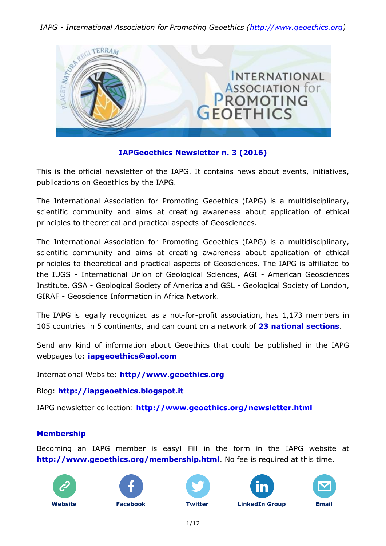

## **IAPGeoethics Newsletter n. 3 (2016)**

This is the official newsletter of the IAPG. It contains news about events, initiatives, publications on Geoethics by the IAPG.

The International Association for Promoting Geoethics (IAPG) is a multidisciplinary, scientific community and aims at creating awareness about application of ethical principles to theoretical and practical aspects of Geosciences.

The International Association for Promoting Geoethics (IAPG) is a multidisciplinary, scientific community and aims at creating awareness about application of ethical principles to theoretical and practical aspects of Geosciences. The IAPG is affiliated to the IUGS - International Union of Geological Sciences, AGI - American Geosciences Institute, GSA - Geological Society of America and GSL - Geological Society of London, GIRAF - Geoscience Information in Africa Network.

The IAPG is legally recognized as a not-for-profit association, has 1,173 members in 105 countries in 5 continents, and can count on a network of **[23 national sections](http://www.geoethics.org/sections.html)**.

Send any kind of information about Geoethics that could be published in the IAPG webpages to: **[iapgeoethics@aol.com](mailto:iapgeoethics@aol.com?subject=IAPG%20newsletter)**

International Website: **[http//www.geoethics.org](http://www.geoethics.org/)**

Blog: **[http://iapgeoethics.blogspot.it](http://iapgeoethics.blogspot.it/)**

IAPG newsletter collection: **<http://www.geoethics.org/newsletter.html>**

### **Membership**

Becoming an IAPG member is easy! Fill in the form in the IAPG website at **<http://www.geoethics.org/membership.html>**. No fee is required at this time.











**[Website](http://www.geoethics.org/) [Facebook](https://www.facebook.com/pages/International-Association-for-Promoting-Geoethics-IAPG/102926009863246) [Twitter](https://twitter.com/IAPGeoethics) [LinkedIn](https://www.linkedin.com/grp/home?gid=4615518) Group [Email](mailto:iapgeoethics@aol.com)**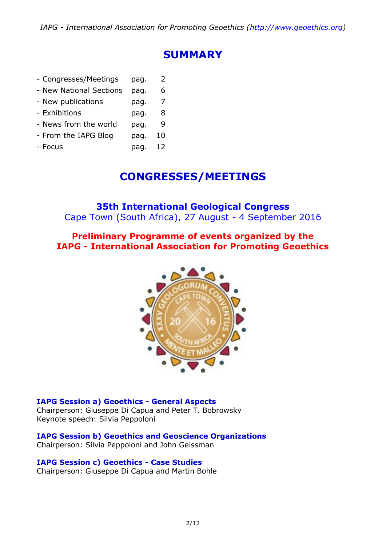## **SUMMARY**

| - Congresses/Meetings   | pag. | 2  |
|-------------------------|------|----|
| - New National Sections | pag. | 6  |
| - New publications      | pag. | 7  |
| - Exhibitions           | pag. | 8  |
| - News from the world   | pag. | q  |
| - From the IAPG Blog    | pag. | 10 |
| - Focus                 | pag. | 12 |

## **CONGRESSES/MEETINGS**

## **35th International Geological Congress**

Cape Town (South Africa), 27 August - 4 September 2016

## **Preliminary Programme of events organized by the IAPG - International Association for Promoting Geoethics**



**IAPG Session a) Geoethics - General Aspects** Chairperson: Giuseppe Di Capua and Peter T. Bobrowsky Keynote speech: Silvia Peppoloni

**IAPG Session b) Geoethics and Geoscience Organizations** Chairperson: Silvia Peppoloni and John Geissman

### **IAPG Session c) Geoethics - Case Studies**

Chairperson: Giuseppe Di Capua and Martin Bohle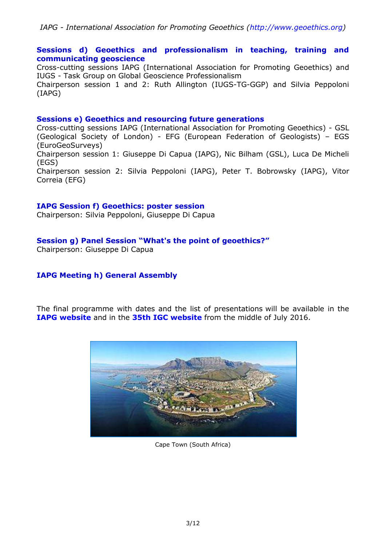#### **Sessions d) Geoethics and professionalism in teaching, training and communicating geoscience**

Cross-cutting sessions IAPG (International Association for Promoting Geoethics) and IUGS - Task Group on Global Geoscience Professionalism

Chairperson session 1 and 2: Ruth Allington (IUGS-TG-GGP) and Silvia Peppoloni (IAPG)

#### **Sessions e) Geoethics and resourcing future generations**

Cross-cutting sessions IAPG (International Association for Promoting Geoethics) - GSL (Geological Society of London) - EFG (European Federation of Geologists) – EGS (EuroGeoSurveys) Chairperson session 1: Giuseppe Di Capua (IAPG), Nic Bilham (GSL), Luca De Micheli (EGS) Chairperson session 2: Silvia Peppoloni (IAPG), Peter T. Bobrowsky (IAPG), Vitor Correia (EFG)

#### **IAPG Session f) Geoethics: poster session**

Chairperson: Silvia Peppoloni, Giuseppe Di Capua

#### **Session g) Panel Session "What's the point of geoethics?"**

Chairperson: Giuseppe Di Capua

### **IAPG Meeting h) General Assembly**

The final programme with dates and the list of presentations will be available in the **[IAPG website](http://www.geoethics.org/#!35th-igc/ckmd)** and in the **[35th IGC website](http://www.35igc.org/)** from the middle of July 2016.



Cape Town (South Africa)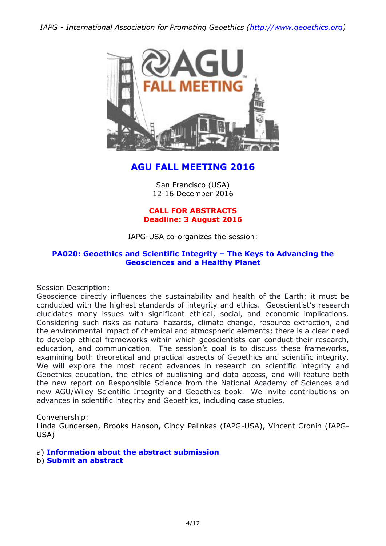

## **AGU FALL MEETING 2016**

San Francisco (USA) 12-16 December 2016

#### **CALL FOR ABSTRACTS Deadline: 3 August 2016**

IAPG-USA co-organizes the session:

#### **[PA020: Geoethics and Scientific Integrity](https://agu.confex.com/agu/fm16/preliminaryview.cgi/Session13852) – The Keys to Advancing the [Geosciences and a Healthy Planet](https://agu.confex.com/agu/fm16/preliminaryview.cgi/Session13852)**

Session Description:

Geoscience directly influences the sustainability and health of the Earth; it must be conducted with the highest standards of integrity and ethics. Geoscientist's research elucidates many issues with significant ethical, social, and economic implications. Considering such risks as natural hazards, climate change, resource extraction, and the environmental impact of chemical and atmospheric elements; there is a clear need to develop ethical frameworks within which geoscientists can conduct their research, education, and communication. The session's goal is to discuss these frameworks, examining both theoretical and practical aspects of Geoethics and scientific integrity. We will explore the most recent advances in research on scientific integrity and Geoethics education, the ethics of publishing and data access, and will feature both the new report on Responsible Science from the National Academy of Sciences and new AGU/Wiley Scientific Integrity and Geoethics book. We invite contributions on advances in scientific integrity and Geoethics, including case studies.

Convenership:

Linda Gundersen, Brooks Hanson, Cindy Palinkas (IAPG-USA), Vincent Cronin (IAPG-USA)

a) **[Information about the abstract submission](https://fallmeeting.agu.org/2016/abstract-submissions/)**

b) **[Submit an abstract](https://agu.confex.com/agu/fm16/preliminaryview.cgi/Session13852)**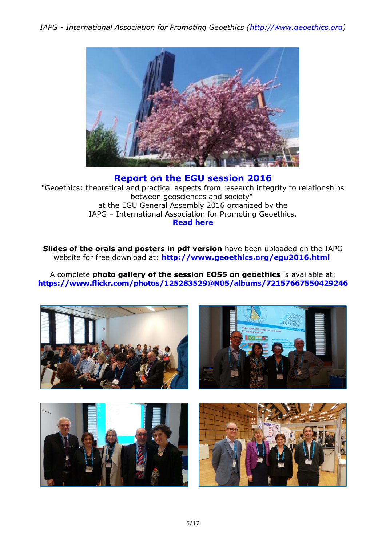

### **[Report on the EGU session](http://iapgeoethics.blogspot.it/2016/05/a-report-on-session-on-geoethics-at-egu.html) 2016**

"Geoethics: theoretical and practical aspects from research integrity to relationships between geosciences and society" at the EGU General Assembly 2016 organized by the IAPG – International Association for Promoting Geoethics. **[Read here](http://iapgeoethics.blogspot.it/2016/05/a-report-on-session-on-geoethics-at-egu.html)**

**Slides of the orals and posters in pdf version** have been uploaded on the IAPG website for free download at: **<http://www.geoethics.org/egu2016.html>**

A complete **photo gallery of the session EOS5 on geoethics** is available at: **<https://www.flickr.com/photos/125283529@N05/albums/72157667550429246>**

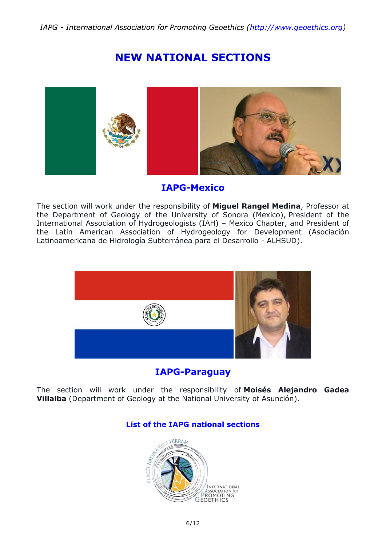## **NEW NATIONAL SECTIONS**



## **IAPG-Mexico**

The section will work under the responsibility of **Miguel Rangel Medina**, Professor at the Department of Geology of the University of Sonora (Mexico), President of the International Association of Hydrogeologists (IAH) – Mexico Chapter, and President of the Latin American Association of Hydrogeology for Development (Asociación Latinoamericana de Hidrología Subterránea para el Desarrollo - ALHSUD).



**IAPG-Paraguay**

The section will work under the responsibility of **Moisés Alejandro Gadea Villalba** (Department of Geology at the National University of Asunción).

### **[List of the IAPG national sections](http://www.geoethics.org/sections.html)**

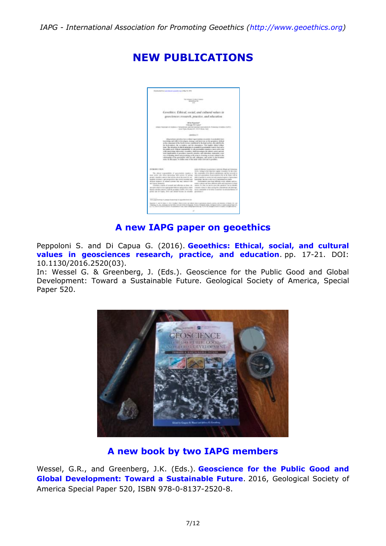

## **NEW PUBLICATIONS**

## **A new IAPG paper on geoethics**

Peppoloni S. and Di Capua G. (2016). **[Geoethics: Ethical, social, and cultural](http://iapgeoethics.blogspot.it/2016/05/a-new-iapg-paper-on-geoethics-in.html)  [values in geosciences research, practice, and education](http://iapgeoethics.blogspot.it/2016/05/a-new-iapg-paper-on-geoethics-in.html)**. pp. 17-21. DOI: 10.1130/2016.2520(03).

In: Wessel G. & Greenberg, J. (Eds.). Geoscience for the Public Good and Global Development: Toward a Sustainable Future. Geological Society of America, Special Paper 520.



## **A new book by two IAPG members**

Wessel, G.R., and Greenberg, J.K. (Eds.). **[Geoscience for the Public Good and](http://iapgeoethics.blogspot.it/2016/06/geoscience-for-public-good-and-global.html)  [Global Development: Toward a Sustainable Future](http://iapgeoethics.blogspot.it/2016/06/geoscience-for-public-good-and-global.html)**. 2016, Geological Society of America Special Paper 520, ISBN 978-0-8137-2520-8.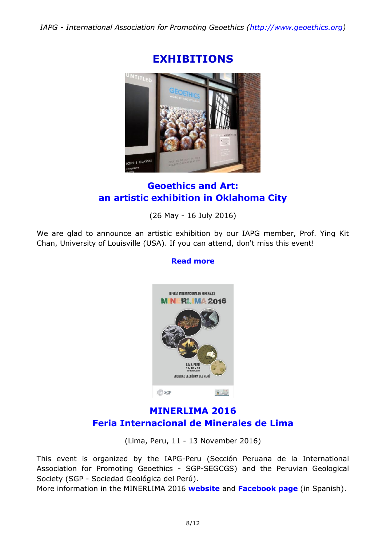

## **EXHIBITIONS**

## **Geoethics and Art: an artistic exhibition in Oklahoma City**

(26 May - 16 July 2016)

We are glad to announce an artistic exhibition by our IAPG member, Prof. Ying Kit Chan, University of Louisville (USA). If you can attend, don't miss this event!

## **[Read more](http://iapgeoethics.blogspot.it/2016/05/geoethics-and-art-artistic-exhibition.html)**



## **MINERLIMA 2016 Feria Internacional de Minerales de Lima**

(Lima, Peru, 11 - 13 November 2016)

This event is organized by the IAPG-Peru (Sección Peruana de la International Association for Promoting Geoethics - SGP-SEGCGS) and the Peruvian Geological Society (SGP - Sociedad Geológica del Perú).

More information in the MINERLIMA 2016 **[website](http://feriamineraleslima.blogspot.it/)** and **[Facebook page](https://www.facebook.com/feriainternacionalmineraleslima/?fref=ts)** (in Spanish).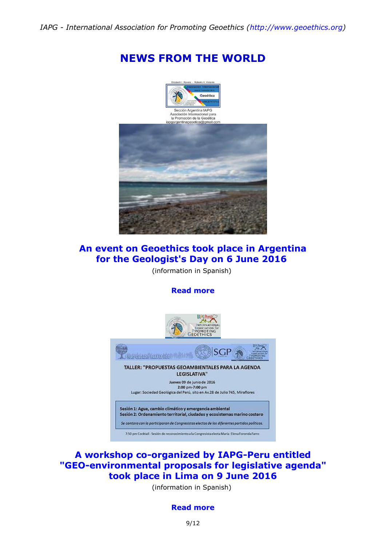## **NEWS FROM THE WORLD**



## **An event on Geoethics took place in Argentina for the Geologist's Day on 6 June 2016**

(information in Spanish)

#### **[Read more](http://iapgeoethics.blogspot.it/2016/06/event-on-geoethics-in-argentina.html)**



## **A workshop co-organized by IAPG-Peru entitled "GEO-environmental proposals for legislative agenda" took place in Lima on 9 June 2016**

(information in Spanish)

#### **[Read more](http://geoeticaperu.blogspot.it/2016/06/este-09-06-16-taller-propuestas.html)**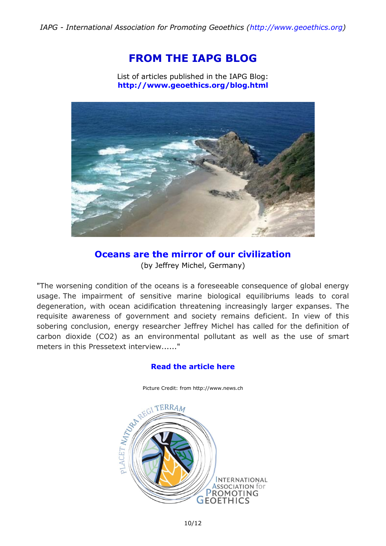## **FROM THE IAPG BLOG**

List of articles published in the IAPG Blog: **<http://www.geoethics.org/blog.html>**



**Oceans are the mirror of our civilization** (by Jeffrey Michel, Germany)

"The worsening condition of the oceans is a foreseeable consequence of global energy usage. The impairment of sensitive marine biological equilibriums leads to coral degeneration, with ocean acidification threatening increasingly larger expanses. The requisite awareness of government and society remains deficient. In view of this sobering conclusion, energy researcher Jeffrey Michel has called for the definition of carbon dioxide (CO2) as an environmental pollutant as well as the use of smart meters in this Pressetext interview......"

#### **[Read the article here](http://iapgeoethics.blogspot.it/2016/06/oceans-are-mirror-of-our-civilization.html)**

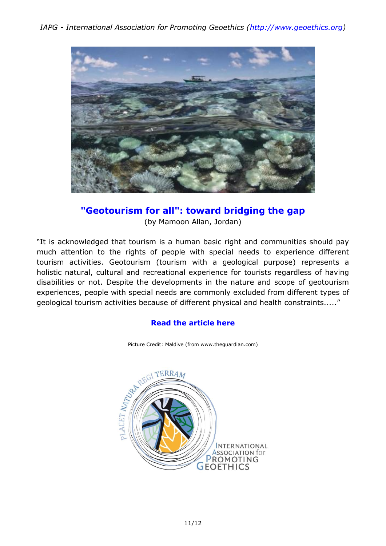

# **"Geotourism for all": toward bridging the gap**

(by Mamoon Allan, Jordan)

"It is acknowledged that tourism is a human basic right and communities should pay much attention to the rights of people with special needs to experience different tourism activities. Geotourism (tourism with a geological purpose) represents a holistic natural, cultural and recreational experience for tourists regardless of having disabilities or not. Despite the developments in the nature and scope of geotourism experiences, people with special needs are commonly excluded from different types of geological tourism activities because of different physical and health constraints....."

#### **[Read the article here](http://iapgeoethics.blogspot.it/2016/06/geotourism-for-all-toward-bridging-gap.html)**



Picture Credit: Maldive (from www.theguardian.com)